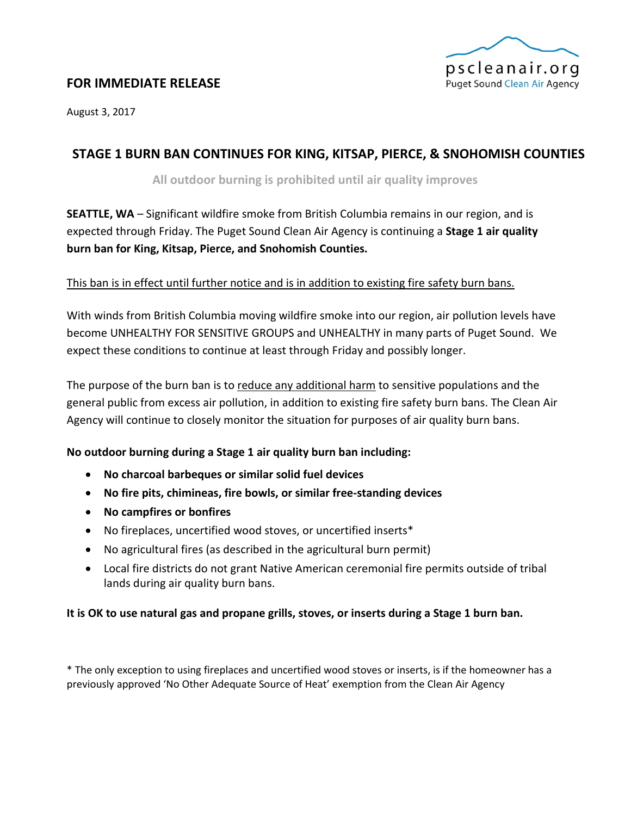

# **FOR IMMEDIATE RELEASE**

August 3, 2017

# **STAGE 1 BURN BAN CONTINUES FOR KING, KITSAP, PIERCE, & SNOHOMISH COUNTIES**

**All outdoor burning is prohibited until air quality improves**

**SEATTLE, WA** – Significant wildfire smoke from British Columbia remains in our region, and is expected through Friday. The Puget Sound Clean Air Agency is continuing a **Stage 1 air quality burn ban for King, Kitsap, Pierce, and Snohomish Counties.**

## This ban is in effect until further notice and is in addition to existing fire safety burn bans.

With winds from British Columbia moving wildfire smoke into our region, air pollution levels have become UNHEALTHY FOR SENSITIVE GROUPS and UNHEALTHY in many parts of Puget Sound. We expect these conditions to continue at least through Friday and possibly longer.

The purpose of the burn ban is to reduce any additional harm to sensitive populations and the general public from excess air pollution, in addition to existing fire safety burn bans. The Clean Air Agency will continue to closely monitor the situation for purposes of air quality burn bans.

## **No outdoor burning during a Stage 1 air quality burn ban including:**

- **No charcoal barbeques or similar solid fuel devices**
- **No fire pits, chimineas, fire bowls, or similar free-standing devices**
- **No campfires or bonfires**
- No fireplaces, uncertified wood stoves, or uncertified inserts\*
- No agricultural fires (as described in the agricultural burn permit)
- Local fire districts do not grant Native American ceremonial fire permits outside of tribal lands during air quality burn bans.

### **It is OK to use natural gas and propane grills, stoves, or inserts during a Stage 1 burn ban.**

\* The only exception to using fireplaces and uncertified wood stoves or inserts, is if the homeowner has a previously approved 'No Other Adequate Source of Heat' exemption from the Clean Air Agency